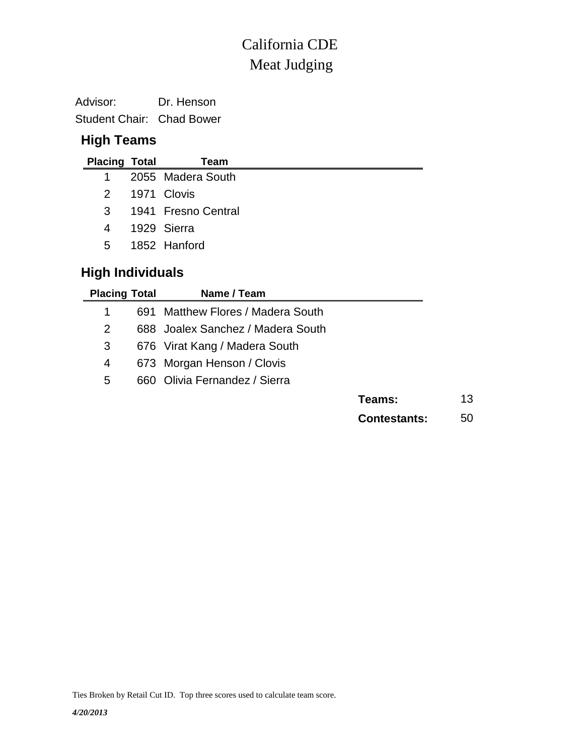# Meat Judging California CDE

Advisor: Dr. Henson Student Chair: Chad Bower

## **High Teams**

| <b>Placing Total</b> | Team                |
|----------------------|---------------------|
| $1 \quad$            | 2055 Madera South   |
|                      | 2 1971 Clovis       |
| $3^{\circ}$          | 1941 Fresno Central |
| 4                    | 1929 Sierra         |
| 5                    | 1852 Hanford        |
|                      |                     |

## **High Individuals**

| <b>Placing Total</b> | Name / Team                       |                     |    |
|----------------------|-----------------------------------|---------------------|----|
| 1                    | 691 Matthew Flores / Madera South |                     |    |
| 2                    | 688 Joalex Sanchez / Madera South |                     |    |
| 3                    | 676 Virat Kang / Madera South     |                     |    |
| 4                    | 673 Morgan Henson / Clovis        |                     |    |
| 5                    | 660 Olivia Fernandez / Sierra     |                     |    |
|                      |                                   | Teams:              | 13 |
|                      |                                   | <b>Contestants:</b> | 50 |

Ties Broken by Retail Cut ID. Top three scores used to calculate team score.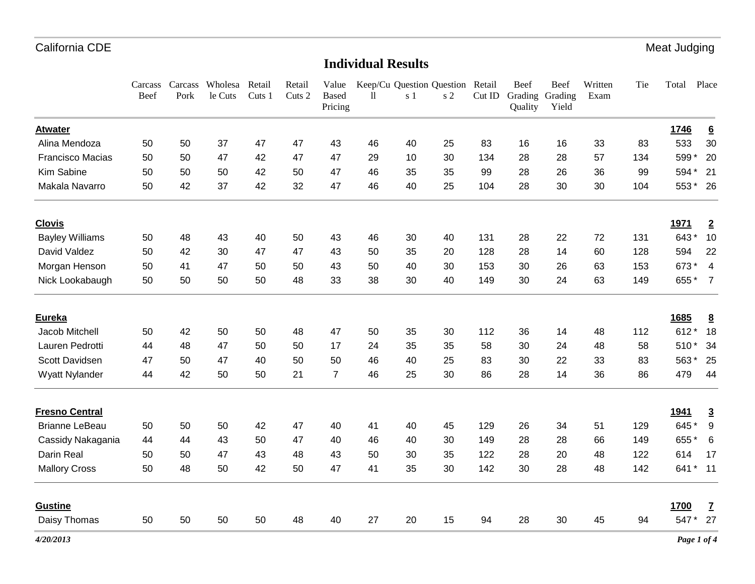### **Individual Results**

|                         | Carcass<br>Beef | Carcass<br>Pork | Wholesa<br>le Cuts | Retail<br>Cuts 1 | Retail<br>Cuts 2 | Value<br><b>Based</b><br>Pricing | $\mathbf{1}$ | Keep/Cu Question Question Retail<br>s 1 | s <sub>2</sub> | Cut ID | Beef<br>Quality | Beef<br>Grading Grading<br>Yield | Written<br>Exam | Tie | Total       | Place           |
|-------------------------|-----------------|-----------------|--------------------|------------------|------------------|----------------------------------|--------------|-----------------------------------------|----------------|--------|-----------------|----------------------------------|-----------------|-----|-------------|-----------------|
| <b>Atwater</b>          |                 |                 |                    |                  |                  |                                  |              |                                         |                |        |                 |                                  |                 |     | 1746        | $\underline{6}$ |
| Alina Mendoza           | 50              | 50              | 37                 | 47               | 47               | 43                               | 46           | 40                                      | 25             | 83     | 16              | 16                               | 33              | 83  | 533         | 30              |
| <b>Francisco Macias</b> | 50              | 50              | 47                 | 42               | 47               | 47                               | 29           | 10                                      | 30             | 134    | 28              | 28                               | 57              | 134 | 599*        | 20              |
| Kim Sabine              | 50              | 50              | 50                 | 42               | 50               | 47                               | 46           | 35                                      | 35             | 99     | 28              | 26                               | 36              | 99  | 594 *       | 21              |
| Makala Navarro          | 50              | 42              | 37                 | 42               | 32               | 47                               | 46           | 40                                      | 25             | 104    | 28              | 30                               | 30              | 104 | 553*        | 26              |
| <b>Clovis</b>           |                 |                 |                    |                  |                  |                                  |              |                                         |                |        |                 |                                  |                 |     | 1971        | $\overline{2}$  |
| <b>Bayley Williams</b>  | 50              | 48              | 43                 | 40               | 50               | 43                               | 46           | 30                                      | 40             | 131    | 28              | 22                               | 72              | 131 | 643*        | 10              |
| David Valdez            | 50              | 42              | 30                 | 47               | 47               | 43                               | 50           | 35                                      | 20             | 128    | 28              | 14                               | 60              | 128 | 594         | 22              |
| Morgan Henson           | 50              | 41              | 47                 | 50               | 50               | 43                               | 50           | 40                                      | 30             | 153    | 30              | 26                               | 63              | 153 | 673*        | $\overline{4}$  |
| Nick Lookabaugh         | 50              | 50              | 50                 | 50               | 48               | 33                               | 38           | 30                                      | 40             | 149    | 30              | 24                               | 63              | 149 | 655*        | $\overline{7}$  |
| Eureka                  |                 |                 |                    |                  |                  |                                  |              |                                         |                |        |                 |                                  |                 |     | 1685        | $\underline{8}$ |
| Jacob Mitchell          | 50              | 42              | 50                 | 50               | 48               | 47                               | 50           | 35                                      | 30             | 112    | 36              | 14                               | 48              | 112 | 612         | 18              |
| Lauren Pedrotti         | 44              | 48              | 47                 | 50               | 50               | 17                               | 24           | 35                                      | 35             | 58     | 30              | 24                               | 48              | 58  | 510*        | 34              |
| Scott Davidsen          | 47              | 50              | 47                 | 40               | 50               | 50                               | 46           | 40                                      | 25             | 83     | 30              | 22                               | 33              | 83  | 563*        | 25              |
| Wyatt Nylander          | 44              | 42              | 50                 | 50               | 21               | $\overline{7}$                   | 46           | 25                                      | 30             | 86     | 28              | 14                               | 36              | 86  | 479         | 44              |
| <b>Fresno Central</b>   |                 |                 |                    |                  |                  |                                  |              |                                         |                |        |                 |                                  |                 |     | <u>1941</u> | $\overline{3}$  |
| <b>Brianne LeBeau</b>   | 50              | 50              | 50                 | 42               | 47               | 40                               | 41           | 40                                      | 45             | 129    | 26              | 34                               | 51              | 129 | 645*        | 9               |
| Cassidy Nakagania       | 44              | 44              | 43                 | 50               | 47               | 40                               | 46           | 40                                      | 30             | 149    | 28              | 28                               | 66              | 149 | 655*        | 6               |
| Darin Real              | 50              | 50              | 47                 | 43               | 48               | 43                               | 50           | 30                                      | 35             | 122    | 28              | 20                               | 48              | 122 | 614         | 17              |
| <b>Mallory Cross</b>    | 50              | 48              | 50                 | 42               | 50               | 47                               | 41           | 35                                      | 30             | 142    | 30              | 28                               | 48              | 142 | 641         | $*$ 11          |
| <b>Gustine</b>          |                 |                 |                    |                  |                  |                                  |              |                                         |                |        |                 |                                  |                 |     | 1700        | Z               |
| Daisy Thomas            | 50              | 50              | 50                 | 50               | 48               | 40                               | 27           | 20                                      | 15             | 94     | 28              | 30                               | 45              | 94  | 547 * 27    |                 |
| 4/20/2013               |                 |                 |                    |                  |                  |                                  |              |                                         |                |        |                 |                                  |                 |     |             | Page 1 of 4     |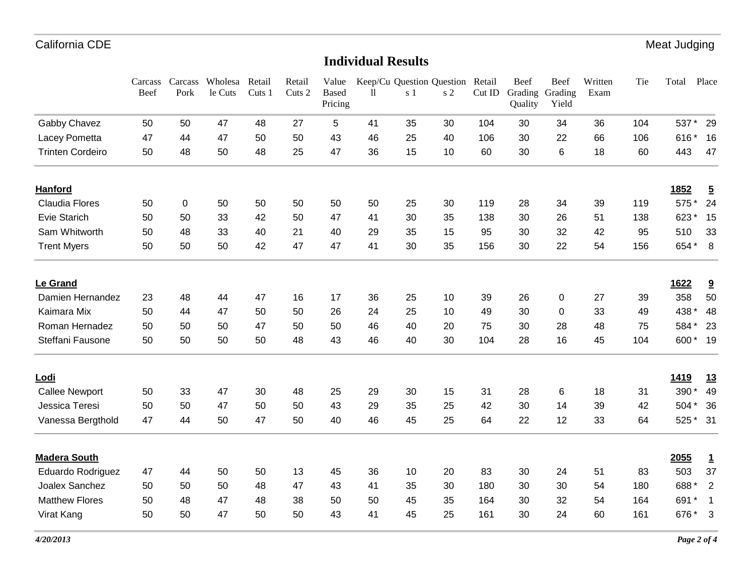## **Individual Results**

|                         | Carcass<br>Beef | Carcass<br>Pork | Wholesa<br>le Cuts | Retail<br>Cuts 1 | Retail<br>Cuts 2 | Value<br><b>Based</b><br>Pricing | $\mathbf{1}$ | s 1 | Keep/Cu Question Question<br>s <sub>2</sub> | Retail<br>Cut ID | Beef<br>Grading<br>Quality | Beef<br>Grading<br>Yield | Written<br>Exam | Tie | Total | Place          |
|-------------------------|-----------------|-----------------|--------------------|------------------|------------------|----------------------------------|--------------|-----|---------------------------------------------|------------------|----------------------------|--------------------------|-----------------|-----|-------|----------------|
| Gabby Chavez            | 50              | 50              | 47                 | 48               | 27               | 5                                | 41           | 35  | 30                                          | 104              | 30                         | 34                       | 36              | 104 | 537*  | 29             |
| Lacey Pometta           | 47              | 44              | 47                 | 50               | 50               | 43                               | 46           | 25  | 40                                          | 106              | 30                         | 22                       | 66              | 106 | 616   | 16             |
| <b>Trinten Cordeiro</b> | 50              | 48              | 50                 | 48               | 25               | 47                               | 36           | 15  | 10                                          | 60               | 30                         | 6                        | 18              | 60  | 443   | 47             |
| <b>Hanford</b>          |                 |                 |                    |                  |                  |                                  |              |     |                                             |                  |                            |                          |                 |     | 1852  | $\overline{5}$ |
| <b>Claudia Flores</b>   | 50              | 0               | 50                 | 50               | 50               | 50                               | 50           | 25  | 30                                          | 119              | 28                         | 34                       | 39              | 119 | 575 * | 24             |
| Evie Starich            | 50              | 50              | 33                 | 42               | 50               | 47                               | 41           | 30  | 35                                          | 138              | 30                         | 26                       | 51              | 138 | 623*  | 15             |
| Sam Whitworth           | 50              | 48              | 33                 | 40               | 21               | 40                               | 29           | 35  | 15                                          | 95               | 30                         | 32                       | 42              | 95  | 510   | 33             |
| <b>Trent Myers</b>      | 50              | 50              | 50                 | 42               | 47               | 47                               | 41           | 30  | 35                                          | 156              | 30                         | 22                       | 54              | 156 | 654*  | 8              |
| <b>Le Grand</b>         |                 |                 |                    |                  |                  |                                  |              |     |                                             |                  |                            |                          |                 |     | 1622  | 9              |
| Damien Hernandez        | 23              | 48              | 44                 | 47               | 16               | 17                               | 36           | 25  | 10                                          | 39               | 26                         | $\mathbf 0$              | 27              | 39  | 358   | 50             |
| Kaimara Mix             | 50              | 44              | 47                 | 50               | 50               | 26                               | 24           | 25  | 10                                          | 49               | 30                         | 0                        | 33              | 49  | 438 * | 48             |
| Roman Hernadez          | 50              | 50              | 50                 | 47               | 50               | 50                               | 46           | 40  | 20                                          | 75               | 30                         | 28                       | 48              | 75  | 584*  | 23             |
| Steffani Fausone        | 50              | 50              | 50                 | 50               | 48               | 43                               | 46           | 40  | 30                                          | 104              | 28                         | 16                       | 45              | 104 | 600*  | 19             |
| Lodi                    |                 |                 |                    |                  |                  |                                  |              |     |                                             |                  |                            |                          |                 |     | 1419  | 13             |
| <b>Callee Newport</b>   | 50              | 33              | 47                 | 30               | 48               | 25                               | 29           | 30  | 15                                          | 31               | 28                         | 6                        | 18              | 31  | 390   | 49             |
| Jessica Teresi          | 50              | 50              | 47                 | 50               | 50               | 43                               | 29           | 35  | 25                                          | 42               | 30                         | 14                       | 39              | 42  | 504   | 36             |
| Vanessa Bergthold       | 47              | 44              | 50                 | 47               | 50               | 40                               | 46           | 45  | 25                                          | 64               | 22                         | 12                       | 33              | 64  | 525*  | 31             |
| <b>Madera South</b>     |                 |                 |                    |                  |                  |                                  |              |     |                                             |                  |                            |                          |                 |     | 2055  | $\mathbf{1}$   |
| Eduardo Rodriguez       | 47              | 44              | 50                 | 50               | 13               | 45                               | 36           | 10  | 20                                          | 83               | 30                         | 24                       | 51              | 83  | 503   | 37             |
| Joalex Sanchez          | 50              | 50              | 50                 | 48               | 47               | 43                               | 41           | 35  | 30                                          | 180              | 30                         | 30                       | 54              | 180 | 688*  | $\overline{2}$ |
| <b>Matthew Flores</b>   | 50              | 48              | 47                 | 48               | 38               | 50                               | 50           | 45  | 35                                          | 164              | 30                         | 32                       | 54              | 164 | 691 * | $\mathbf{1}$   |
| Virat Kang              | 50              | 50              | 47                 | 50               | 50               | 43                               | 41           | 45  | 25                                          | 161              | 30                         | 24                       | 60              | 161 | 676   | $\overline{3}$ |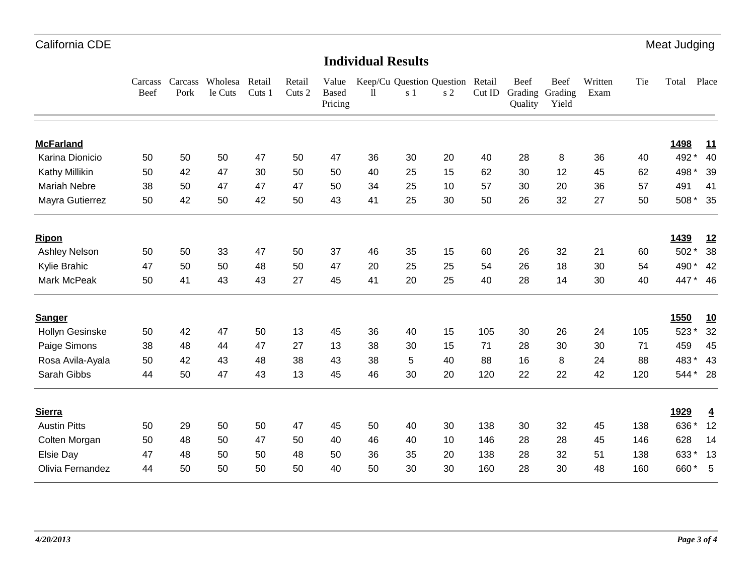## **Individual Results**

|                     | Carcass<br><b>Beef</b> | Carcass<br>Pork | Wholesa<br>le Cuts | Retail<br>Cuts 1 | Retail<br>Cuts 2 | Value<br><b>Based</b><br>Pricing | 11 | Keep/Cu Question Question Retail<br>s 1 | $\sqrt{s}$ 2 | Cut ID | Beef<br>Quality | Beef<br>Grading Grading<br>Yield | Written<br>Exam | Tie | Total    | Place                   |
|---------------------|------------------------|-----------------|--------------------|------------------|------------------|----------------------------------|----|-----------------------------------------|--------------|--------|-----------------|----------------------------------|-----------------|-----|----------|-------------------------|
| <b>McFarland</b>    |                        |                 |                    |                  |                  |                                  |    |                                         |              |        |                 |                                  |                 |     | 1498     | 11                      |
| Karina Dionicio     | 50                     | 50              | 50                 | 47               | 50               | 47                               | 36 | 30                                      | 20           | 40     | 28              | 8                                | 36              | 40  | 492 *    | 40                      |
| Kathy Millikin      | 50                     | 42              | 47                 | 30               | 50               | 50                               | 40 | 25                                      | 15           | 62     | 30              | 12                               | 45              | 62  | 498 *    | 39                      |
| <b>Mariah Nebre</b> | 38                     | 50              | 47                 | 47               | 47               | 50                               | 34 | 25                                      | 10           | 57     | 30              | 20                               | 36              | 57  | 491      | 41                      |
| Mayra Gutierrez     | 50                     | 42              | 50                 | 42               | 50               | 43                               | 41 | 25                                      | 30           | 50     | 26              | 32                               | 27              | 50  | 508 *    | 35                      |
| Ripon               |                        |                 |                    |                  |                  |                                  |    |                                         |              |        |                 |                                  |                 |     | 1439     | 12                      |
| Ashley Nelson       | 50                     | 50              | 33                 | 47               | 50               | 37                               | 46 | 35                                      | 15           | 60     | 26              | 32                               | 21              | 60  | 502*     | 38                      |
| Kylie Brahic        | 47                     | 50              | 50                 | 48               | 50               | 47                               | 20 | 25                                      | 25           | 54     | 26              | 18                               | 30              | 54  | 490*     | 42                      |
| Mark McPeak         | 50                     | 41              | 43                 | 43               | 27               | 45                               | 41 | 20                                      | 25           | 40     | 28              | 14                               | 30              | 40  | 447*     | 46                      |
| <b>Sanger</b>       |                        |                 |                    |                  |                  |                                  |    |                                         |              |        |                 |                                  |                 |     | 1550     | <u>10</u>               |
| Hollyn Gesinske     | 50                     | 42              | 47                 | 50               | 13               | 45                               | 36 | 40                                      | 15           | 105    | 30              | 26                               | 24              | 105 | 523*     | 32                      |
| Paige Simons        | 38                     | 48              | 44                 | 47               | 27               | 13                               | 38 | 30                                      | 15           | 71     | 28              | 30                               | 30              | 71  | 459      | 45                      |
| Rosa Avila-Ayala    | 50                     | 42              | 43                 | 48               | 38               | 43                               | 38 | 5                                       | 40           | 88     | 16              | 8                                | 24              | 88  | 483*     | 43                      |
| Sarah Gibbs         | 44                     | 50              | 47                 | 43               | 13               | 45                               | 46 | 30                                      | 20           | 120    | 22              | 22                               | 42              | 120 | 544 * 28 |                         |
| <b>Sierra</b>       |                        |                 |                    |                  |                  |                                  |    |                                         |              |        |                 |                                  |                 |     | 1929     | $\overline{\mathbf{4}}$ |
| <b>Austin Pitts</b> | 50                     | 29              | 50                 | 50               | 47               | 45                               | 50 | 40                                      | 30           | 138    | 30              | 32                               | 45              | 138 | 636      | 12                      |
| Colten Morgan       | 50                     | 48              | 50                 | 47               | 50               | 40                               | 46 | 40                                      | 10           | 146    | 28              | 28                               | 45              | 146 | 628      | 14                      |
| Elsie Day           | 47                     | 48              | 50                 | 50               | 48               | 50                               | 36 | 35                                      | 20           | 138    | 28              | 32                               | 51              | 138 | 633*     | 13                      |
| Olivia Fernandez    | 44                     | 50              | 50                 | 50               | 50               | 40                               | 50 | 30                                      | 30           | 160    | 28              | 30                               | 48              | 160 | 660*     | $-5$                    |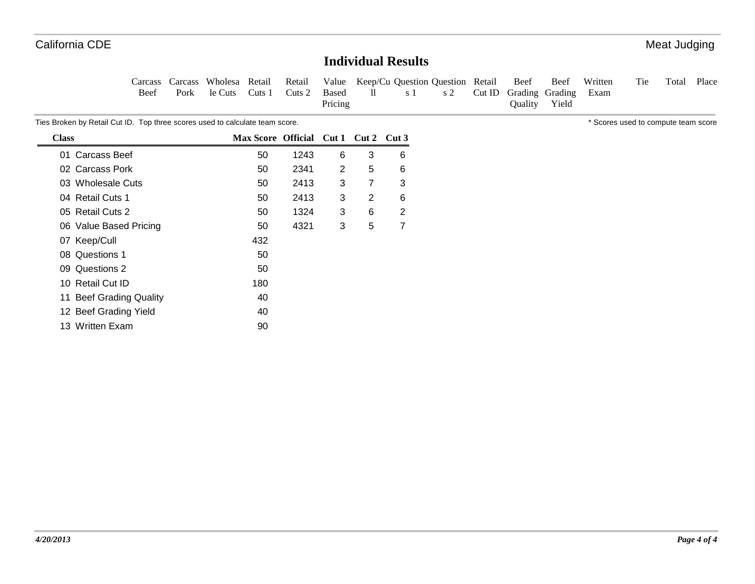### **Individual Results**

| <b>Carcass</b> | Carcass Wholesa Retail                  | Retail |         | Value Keep/Cu Question Question Retail Beef |                                 |         | Beef  | Written | Tie | Total | Place |
|----------------|-----------------------------------------|--------|---------|---------------------------------------------|---------------------------------|---------|-------|---------|-----|-------|-------|
| <b>Beef</b>    | Pork le Cuts Cuts 1 Cuts 2 Based 11 s 1 |        |         |                                             | s 2 Cut ID Grading Grading Exam |         |       |         |     |       |       |
|                |                                         |        | Pricing |                                             |                                 | Oualitv | Yield |         |     |       |       |

Ties Broken by Retail Cut ID. Top three scores used to calculate team score.  $\bullet$  \* Scores used to compute team score

| <b>Class</b>            | Max Score Official Cut 1 |      |   |   | $Cut 2$ Cut 3 |
|-------------------------|--------------------------|------|---|---|---------------|
| 01 Carcass Beef         | 50                       | 1243 | 6 | 3 | 6             |
| 02 Carcass Pork         | 50                       | 2341 | 2 | 5 | 6             |
| 03 Wholesale Cuts       | 50                       | 2413 | 3 | 7 | 3             |
| 04 Retail Cuts 1        | 50                       | 2413 | 3 | 2 | 6             |
| 05 Retail Cuts 2        | 50                       | 1324 | 3 | 6 | 2             |
| 06 Value Based Pricing  | 50                       | 4321 | 3 | 5 | 7             |
| 07 Keep/Cull            | 432                      |      |   |   |               |
| 08 Questions 1          | 50                       |      |   |   |               |
| 09 Questions 2          | 50                       |      |   |   |               |
| 10 Retail Cut ID        | 180                      |      |   |   |               |
| 11 Beef Grading Quality | 40                       |      |   |   |               |
| 12 Beef Grading Yield   | 40                       |      |   |   |               |
| 13 Written Exam         | 90                       |      |   |   |               |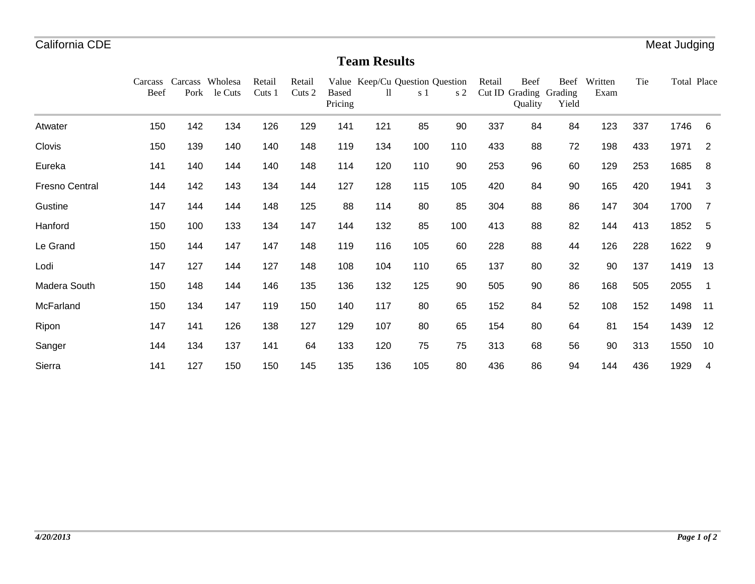## **Team Results**

|                       | Carcass<br>Beef | Carcass<br>Pork | Wholesa<br>le Cuts | Retail<br>Cuts 1 | Retail<br>Cuts 2 | Based<br>Pricing | Value Keep/Cu Question Question<br>11 | s 1 | s <sub>2</sub> | Retail | Beef<br>Cut ID Grading Grading<br>Quality | Beef<br>Yield | Written<br>Exam | Tie | Total Place |                |
|-----------------------|-----------------|-----------------|--------------------|------------------|------------------|------------------|---------------------------------------|-----|----------------|--------|-------------------------------------------|---------------|-----------------|-----|-------------|----------------|
| Atwater               | 150             | 142             | 134                | 126              | 129              | 141              | 121                                   | 85  | 90             | 337    | 84                                        | 84            | 123             | 337 | 1746        | 6              |
| Clovis                | 150             | 139             | 140                | 140              | 148              | 119              | 134                                   | 100 | 110            | 433    | 88                                        | 72            | 198             | 433 | 1971        | $\overline{2}$ |
| Eureka                | 141             | 140             | 144                | 140              | 148              | 114              | 120                                   | 110 | 90             | 253    | 96                                        | 60            | 129             | 253 | 1685        | 8              |
| <b>Fresno Central</b> | 144             | 142             | 143                | 134              | 144              | 127              | 128                                   | 115 | 105            | 420    | 84                                        | 90            | 165             | 420 | 1941        | 3              |
| Gustine               | 147             | 144             | 144                | 148              | 125              | 88               | 114                                   | 80  | 85             | 304    | 88                                        | 86            | 147             | 304 | 1700        | $\overline{7}$ |
| Hanford               | 150             | 100             | 133                | 134              | 147              | 144              | 132                                   | 85  | 100            | 413    | 88                                        | 82            | 144             | 413 | 1852        | 5              |
| Le Grand              | 150             | 144             | 147                | 147              | 148              | 119              | 116                                   | 105 | 60             | 228    | 88                                        | 44            | 126             | 228 | 1622        | 9              |
| Lodi                  | 147             | 127             | 144                | 127              | 148              | 108              | 104                                   | 110 | 65             | 137    | 80                                        | 32            | 90              | 137 | 1419        | 13             |
| Madera South          | 150             | 148             | 144                | 146              | 135              | 136              | 132                                   | 125 | 90             | 505    | 90                                        | 86            | 168             | 505 | 2055        |                |
| McFarland             | 150             | 134             | 147                | 119              | 150              | 140              | 117                                   | 80  | 65             | 152    | 84                                        | 52            | 108             | 152 | 1498        | 11             |
| Ripon                 | 147             | 141             | 126                | 138              | 127              | 129              | 107                                   | 80  | 65             | 154    | 80                                        | 64            | 81              | 154 | 1439        | 12             |
| Sanger                | 144             | 134             | 137                | 141              | 64               | 133              | 120                                   | 75  | 75             | 313    | 68                                        | 56            | 90              | 313 | 1550        | 10             |
| Sierra                | 141             | 127             | 150                | 150              | 145              | 135              | 136                                   | 105 | 80             | 436    | 86                                        | 94            | 144             | 436 | 1929        | 4              |